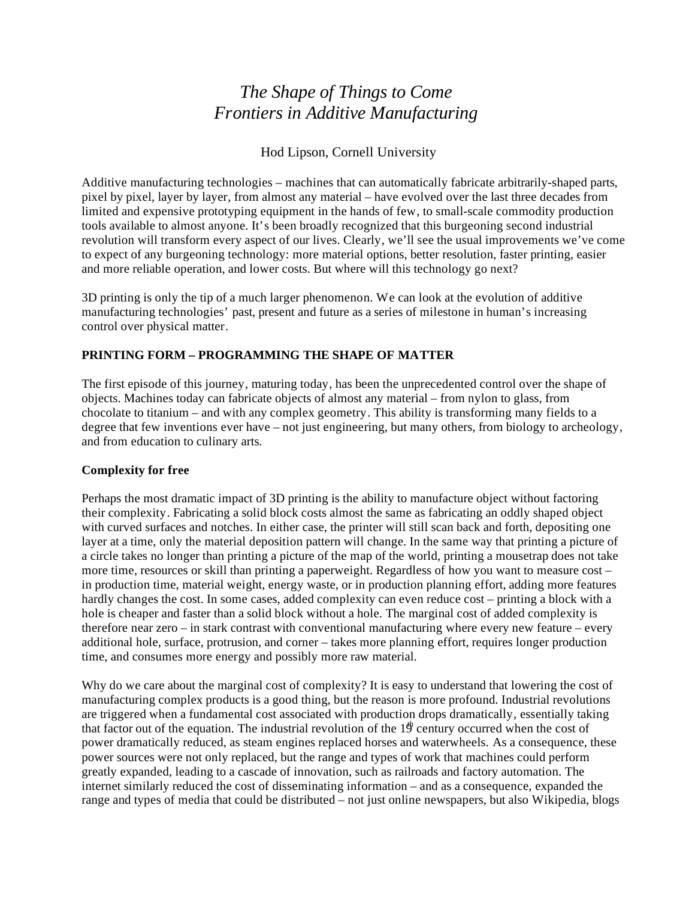# *The Shape of Things to Come Frontiers in Additive Manufacturing*

# Hod Lipson, Cornell University

Additive manufacturing technologies – machines that can automatically fabricate arbitrarily-shaped parts, pixel by pixel, layer by layer, from almost any material – have evolved over the last three decades from limited and expensive prototyping equipment in the hands of few, to small-scale commodity production tools available to almost anyone. It's been broadly recognized that this burgeoning second industrial revolution will transform every aspect of our lives. Clearly, we'll see the usual improvements we've come to expect of any burgeoning technology: more material options, better resolution, faster printing, easier and more reliable operation, and lower costs. But where will this technology go next?

3D printing is only the tip of a much larger phenomenon. We can look at the evolution of additive manufacturing technologies' past, present and future as a series of milestone in human's increasing control over physical matter.

# **PRINTING FORM – PROGRAMMING THE SHAPE OF MATTER**

The first episode of this journey, maturing today, has been the unprecedented control over the shape of objects. Machines today can fabricate objects of almost any material – from nylon to glass, from chocolate to titanium – and with any complex geometry. This ability is transforming many fields to a degree that few inventions ever have – not just engineering, but many others, from biology to archeology, and from education to culinary arts.

# **Complexity for free**

Perhaps the most dramatic impact of 3D printing is the ability to manufacture object without factoring their complexity. Fabricating a solid block costs almost the same as fabricating an oddly shaped object with curved surfaces and notches. In either case, the printer will still scan back and forth, depositing one layer at a time, only the material deposition pattern will change. In the same way that printing a picture of a circle takes no longer than printing a picture of the map of the world, printing a mousetrap does not take more time, resources or skill than printing a paperweight. Regardless of how you want to measure cost – in production time, material weight, energy waste, or in production planning effort, adding more features hardly changes the cost. In some cases, added complexity can even reduce cost – printing a block with a hole is cheaper and faster than a solid block without a hole. The marginal cost of added complexity is therefore near zero – in stark contrast with conventional manufacturing where every new feature – every additional hole, surface, protrusion, and corner – takes more planning effort, requires longer production time, and consumes more energy and possibly more raw material.

Why do we care about the marginal cost of complexity? It is easy to understand that lowering the cost of manufacturing complex products is a good thing, but the reason is more profound. Industrial revolutions are triggered when a fundamental cost associated with production drops dramatically, essentially taking that factor out of the equation. The industrial revolution of the  $1\frac{\dot{\phi}}{\dot{\phi}}$  century occurred when the cost of power dramatically reduced, as steam engines replaced horses and waterwheels. As a consequence, these power sources were not only replaced, but the range and types of work that machines could perform greatly expanded, leading to a cascade of innovation, such as railroads and factory automation. The internet similarly reduced the cost of disseminating information – and as a consequence, expanded the range and types of media that could be distributed – not just online newspapers, but also Wikipedia, blogs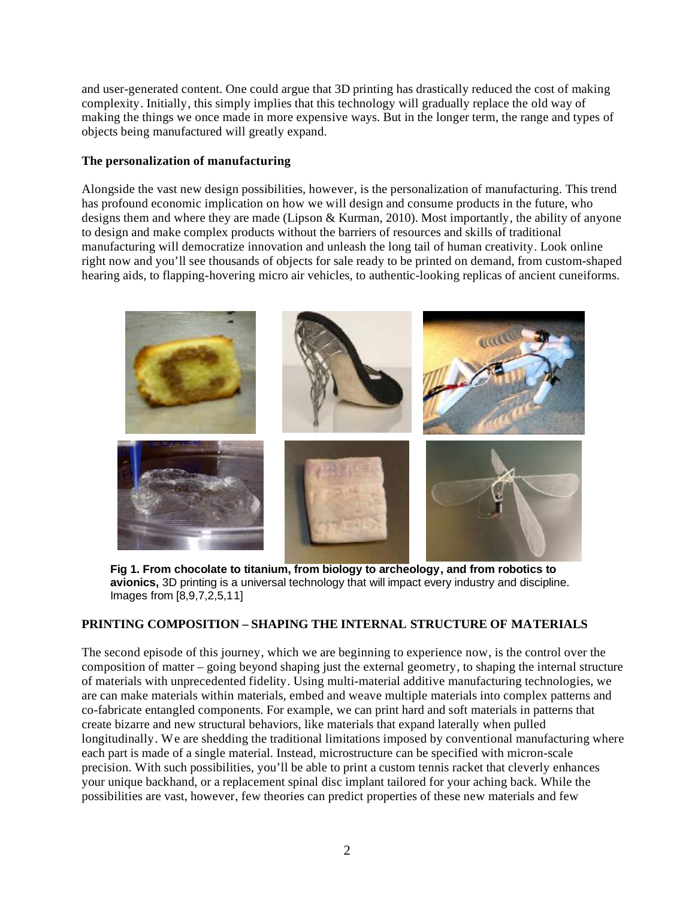and user-generated content. One could argue that 3D printing has drastically reduced the cost of making complexity. Initially, this simply implies that this technology will gradually replace the old way of making the things we once made in more expensive ways. But in the longer term, the range and types of objects being manufactured will greatly expand.

#### **The personalization of manufacturing**

Alongside the vast new design possibilities, however, is the personalization of manufacturing. This trend has profound economic implication on how we will design and consume products in the future, who designs them and where they are made (Lipson & Kurman, 2010). Most importantly, the ability of anyone to design and make complex products without the barriers of resources and skills of traditional manufacturing will democratize innovation and unleash the long tail of human creativity. Look online right now and you'll see thousands of objects for sale ready to be printed on demand, from custom-shaped hearing aids, to flapping-hovering micro air vehicles, to authentic-looking replicas of ancient cuneiforms.



**Fig 1. From chocolate to titanium, from biology to archeology, and from robotics to avionics,** 3D printing is a universal technology that will impact every industry and discipline. Images from [8,9,7,2,5,11]

# **PRINTING COMPOSITION – SHAPING THE INTERNAL STRUCTURE OF MATERIALS**

The second episode of this journey, which we are beginning to experience now, is the control over the composition of matter – going beyond shaping just the external geometry, to shaping the internal structure of materials with unprecedented fidelity. Using multi-material additive manufacturing technologies, we are can make materials within materials, embed and weave multiple materials into complex patterns and co-fabricate entangled components. For example, we can print hard and soft materials in patterns that create bizarre and new structural behaviors, like materials that expand laterally when pulled longitudinally. We are shedding the traditional limitations imposed by conventional manufacturing where each part is made of a single material. Instead, microstructure can be specified with micron-scale precision. With such possibilities, you'll be able to print a custom tennis racket that cleverly enhances your unique backhand, or a replacement spinal disc implant tailored for your aching back. While the possibilities are vast, however, few theories can predict properties of these new materials and few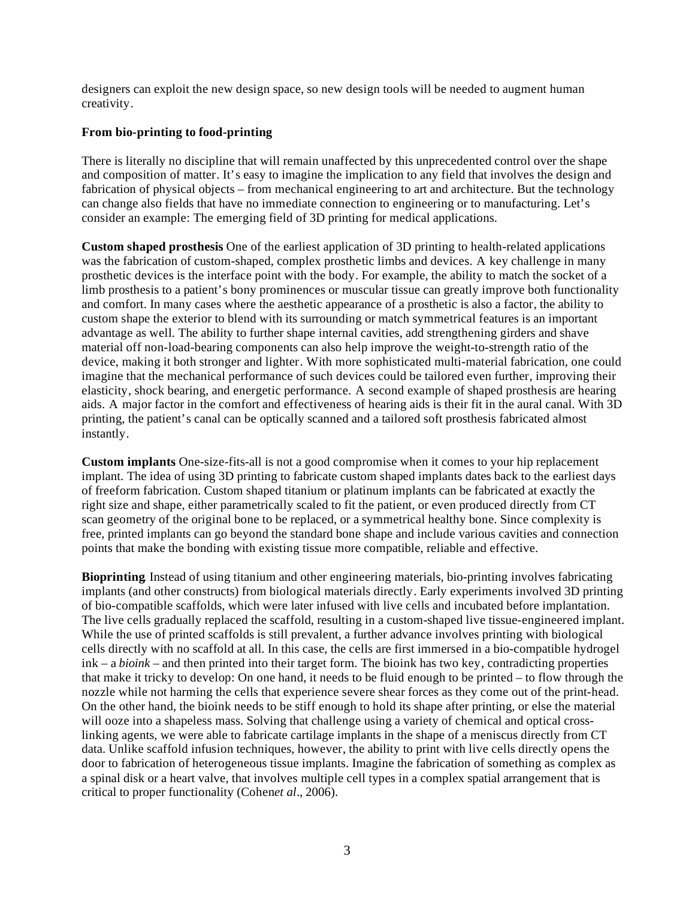designers can exploit the new design space, so new design tools will be needed to augment human creativity.

#### **From bio-printing to food-printing**

There is literally no discipline that will remain unaffected by this unprecedented control over the shape and composition of matter. It's easy to imagine the implication to any field that involves the design and fabrication of physical objects – from mechanical engineering to art and architecture. But the technology can change also fields that have no immediate connection to engineering or to manufacturing. Let's consider an example: The emerging field of 3D printing for medical applications.

**Custom shaped prosthesis**. One of the earliest application of 3D printing to health-related applications was the fabrication of custom-shaped, complex prosthetic limbs and devices. A key challenge in many prosthetic devices is the interface point with the body. For example, the ability to match the socket of a limb prosthesis to a patient's bony prominences or muscular tissue can greatly improve both functionality and comfort. In many cases where the aesthetic appearance of a prosthetic is also a factor, the ability to custom shape the exterior to blend with its surrounding or match symmetrical features is an important advantage as well. The ability to further shape internal cavities, add strengthening girders and shave material off non-load-bearing components can also help improve the weight-to-strength ratio of the device, making it both stronger and lighter. With more sophisticated multi-material fabrication, one could imagine that the mechanical performance of such devices could be tailored even further, improving their elasticity, shock bearing, and energetic performance. A second example of shaped prosthesis are hearing aids. A major factor in the comfort and effectiveness of hearing aids is their fit in the aural canal. With 3D printing, the patient's canal can be optically scanned and a tailored soft prosthesis fabricated almost instantly.

**Custom implants**. One-size-fits-all is not a good compromise when it comes to your hip replacement implant. The idea of using 3D printing to fabricate custom shaped implants dates back to the earliest days of freeform fabrication. Custom shaped titanium or platinum implants can be fabricated at exactly the right size and shape, either parametrically scaled to fit the patient, or even produced directly from CT scan geometry of the original bone to be replaced, or a symmetrical healthy bone. Since complexity is free, printed implants can go beyond the standard bone shape and include various cavities and connection points that make the bonding with existing tissue more compatible, reliable and effective.

**Bioprinting**. Instead of using titanium and other engineering materials, bio-printing involves fabricating implants (and other constructs) from biological materials directly. Early experiments involved 3D printing of bio-compatible scaffolds, which were later infused with live cells and incubated before implantation. The live cells gradually replaced the scaffold, resulting in a custom-shaped live tissue-engineered implant. While the use of printed scaffolds is still prevalent, a further advance involves printing with biological cells directly with no scaffold at all. In this case, the cells are first immersed in a bio-compatible hydrogel ink – a *bioink* – and then printed into their target form. The bioink has two key, contradicting properties that make it tricky to develop: On one hand, it needs to be fluid enough to be printed – to flow through the nozzle while not harming the cells that experience severe shear forces as they come out of the print-head. On the other hand, the bioink needs to be stiff enough to hold its shape after printing, or else the material will ooze into a shapeless mass. Solving that challenge using a variety of chemical and optical crosslinking agents, we were able to fabricate cartilage implants in the shape of a meniscus directly from CT data. Unlike scaffold infusion techniques, however, the ability to print with live cells directly opens the door to fabrication of heterogeneous tissue implants. Imagine the fabrication of something as complex as a spinal disk or a heart valve, that involves multiple cell types in a complex spatial arrangement that is critical to proper functionality (Cohenet al., 2006).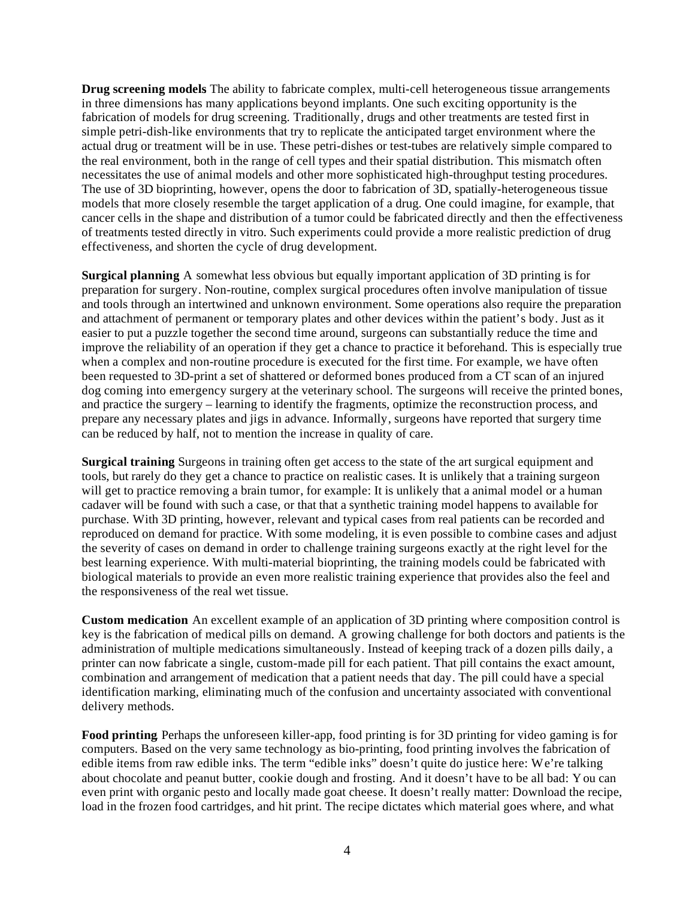**Drug screening models**. The ability to fabricate complex, multi-cell heterogeneous tissue arrangements in three dimensions has many applications beyond implants. One such exciting opportunity is the fabrication of models for drug screening. Traditionally, drugs and other treatments are tested first in simple petri-dish-like environments that try to replicate the anticipated target environment where the actual drug or treatment will be in use. These petri-dishes or test-tubes are relatively simple compared to the real environment, both in the range of cell types and their spatial distribution. This mismatch often necessitates the use of animal models and other more sophisticated high-throughput testing procedures. The use of 3D bioprinting, however, opens the door to fabrication of 3D, spatially-heterogeneous tissue models that more closely resemble the target application of a drug. One could imagine, for example, that cancer cells in the shape and distribution of a tumor could be fabricated directly and then the effectiveness of treatments tested directly in vitro. Such experiments could provide a more realistic prediction of drug effectiveness, and shorten the cycle of drug development.

**Surgical planning**. A somewhat less obvious but equally important application of 3D printing is for preparation for surgery. Non-routine, complex surgical procedures often involve manipulation of tissue and tools through an intertwined and unknown environment. Some operations also require the preparation and attachment of permanent or temporary plates and other devices within the patient's body. Just as it easier to put a puzzle together the second time around, surgeons can substantially reduce the time and improve the reliability of an operation if they get a chance to practice it beforehand. This is especially true when a complex and non-routine procedure is executed for the first time. For example, we have often been requested to 3D-print a set of shattered or deformed bones produced from a CT scan of an injured dog coming into emergency surgery at the veterinary school. The surgeons will receive the printed bones, and practice the surgery – learning to identify the fragments, optimize the reconstruction process, and prepare any necessary plates and jigs in advance. Informally, surgeons have reported that surgery time can be reduced by half, not to mention the increase in quality of care.

**Surgical training**. Surgeons in training often get access to the state of the art surgical equipment and tools, but rarely do they get a chance to practice on realistic cases. It is unlikely that a training surgeon will get to practice removing a brain tumor, for example: It is unlikely that a animal model or a human cadaver will be found with such a case, or that that a synthetic training model happens to available for purchase. With 3D printing, however, relevant and typical cases from real patients can be recorded and reproduced on demand for practice. With some modeling, it is even possible to combine cases and adjust the severity of cases on demand in order to challenge training surgeons exactly at the right level for the best learning experience. With multi-material bioprinting, the training models could be fabricated with biological materials to provide an even more realistic training experience that provides also the feel and the responsiveness of the real wet tissue.

**Custom medication**. An excellent example of an application of 3D printing where composition control is key is the fabrication of medical pills on demand. A growing challenge for both doctors and patients is the administration of multiple medications simultaneously. Instead of keeping track of a dozen pills daily, a printer can now fabricate a single, custom-made pill for each patient. That pill contains the exact amount, combination and arrangement of medication that a patient needs that day. The pill could have a special identification marking, eliminating much of the confusion and uncertainty associated with conventional delivery methods.

**Food printing**. Perhaps the unforeseen killer-app, food printing is for 3D printing for video gaming is for computers. Based on the very same technology as bio-printing, food printing involves the fabrication of edible items from raw edible inks. The term "edible inks" doesn't quite do justice here: We're talking about chocolate and peanut butter, cookie dough and frosting. And it doesn't have to be all bad: You can even print with organic pesto and locally made goat cheese. It doesn't really matter: Download the recipe, load in the frozen food cartridges, and hit print. The recipe dictates which material goes where, and what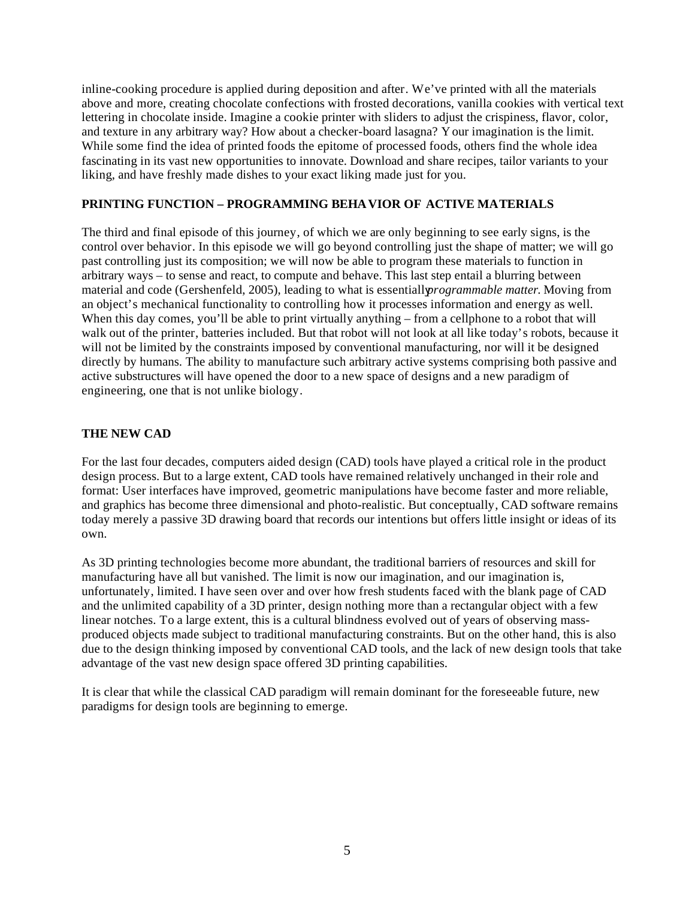inline-cooking procedure is applied during deposition and after. We've printed with all the materials above and more, creating chocolate confections with frosted decorations, vanilla cookies with vertical text lettering in chocolate inside. Imagine a cookie printer with sliders to adjust the crispiness, flavor, color, and texture in any arbitrary way? How about a checker-board lasagna? Your imagination is the limit. While some find the idea of printed foods the epitome of processed foods, others find the whole idea fascinating in its vast new opportunities to innovate. Download and share recipes, tailor variants to your liking, and have freshly made dishes to your exact liking made just for you.

# **PRINTING FUNCTION – PROGRAMMING BEHAVIOR OF ACTIVE MATERIALS**

The third and final episode of this journey, of which we are only beginning to see early signs, is the control over behavior. In this episode we will go beyond controlling just the shape of matter; we will go past controlling just its composition; we will now be able to program these materials to function in arbitrary ways – to sense and react, to compute and behave. This last step entail a blurring between material and code (Gershenfeld, 2005), leading to what is essentially *programmable matter*. Moving from an object's mechanical functionality to controlling how it processes information and energy as well. When this day comes, you'll be able to print virtually anything – from a cellphone to a robot that will walk out of the printer, batteries included. But that robot will not look at all like today's robots, because it will not be limited by the constraints imposed by conventional manufacturing, nor will it be designed directly by humans. The ability to manufacture such arbitrary active systems comprising both passive and active substructures will have opened the door to a new space of designs and a new paradigm of engineering, one that is not unlike biology.

# **THE NEW CAD**

For the last four decades, computers aided design (CAD) tools have played a critical role in the product design process. But to a large extent, CAD tools have remained relatively unchanged in their role and format: User interfaces have improved, geometric manipulations have become faster and more reliable, and graphics has become three dimensional and photo-realistic. But conceptually, CAD software remains today merely a passive 3D drawing board that records our intentions but offers little insight or ideas of its own.

As 3D printing technologies become more abundant, the traditional barriers of resources and skill for manufacturing have all but vanished. The limit is now our imagination, and our imagination is, unfortunately, limited. I have seen over and over how fresh students faced with the blank page of CAD and the unlimited capability of a 3D printer, design nothing more than a rectangular object with a few linear notches. To a large extent, this is a cultural blindness evolved out of years of observing massproduced objects made subject to traditional manufacturing constraints. But on the other hand, this is also due to the design thinking imposed by conventional CAD tools, and the lack of new design tools that take advantage of the vast new design space offered 3D printing capabilities.

It is clear that while the classical CAD paradigm will remain dominant for the foreseeable future, new paradigms for design tools are beginning to emerge.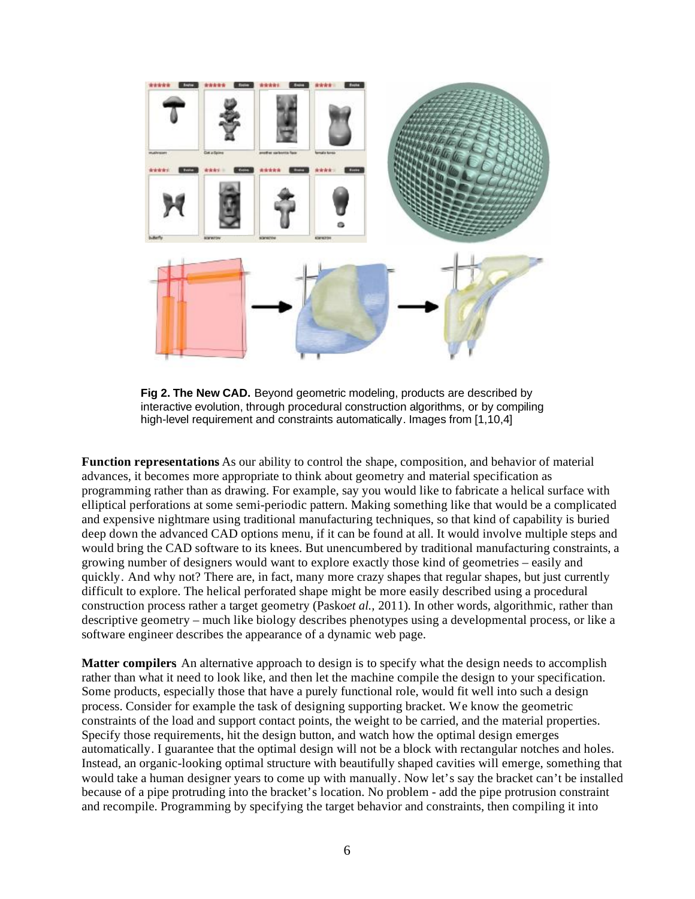

**Fig 2. The New CAD.** Beyond geometric modeling, products are described by interactive evolution, through procedural construction algorithms, or by compiling high-level requirement and constraints automatically. Images from [1,10,4]

**Function representations**. As our ability to control the shape, composition, and behavior of material advances, it becomes more appropriate to think about geometry and material specification as programming rather than as drawing. For example, say you would like to fabricate a helical surface with elliptical perforations at some semi-periodic pattern. Making something like that would be a complicated and expensive nightmare using traditional manufacturing techniques, so that kind of capability is buried deep down the advanced CAD options menu, if it can be found at all. It would involve multiple steps and would bring the CAD software to its knees. But unencumbered by traditional manufacturing constraints, a growing number of designers would want to explore exactly those kind of geometries – easily and quickly. And why not? There are, in fact, many more crazy shapes that regular shapes, but just currently difficult to explore. The helical perforated shape might be more easily described using a procedural construction process rather a target geometry (Paskoet al., 2011). In other words, algorithmic, rather than descriptive geometry – much like biology describes phenotypes using a developmental process, or like a software engineer describes the appearance of a dynamic web page.

**Matter compilers**. An alternative approach to design is to specify what the design needs to accomplish rather than what it need to look like, and then let the machine compile the design to your specification. Some products, especially those that have a purely functional role, would fit well into such a design process. Consider for example the task of designing supporting bracket. We know the geometric constraints of the load and support contact points, the weight to be carried, and the material properties. Specify those requirements, hit the design button, and watch how the optimal design emerges automatically. I guarantee that the optimal design will not be a block with rectangular notches and holes. Instead, an organic-looking optimal structure with beautifully shaped cavities will emerge, something that would take a human designer years to come up with manually. Now let's say the bracket can't be installed because of a pipe protruding into the bracket's location. No problem - add the pipe protrusion constraint and recompile. Programming by specifying the target behavior and constraints, then compiling it into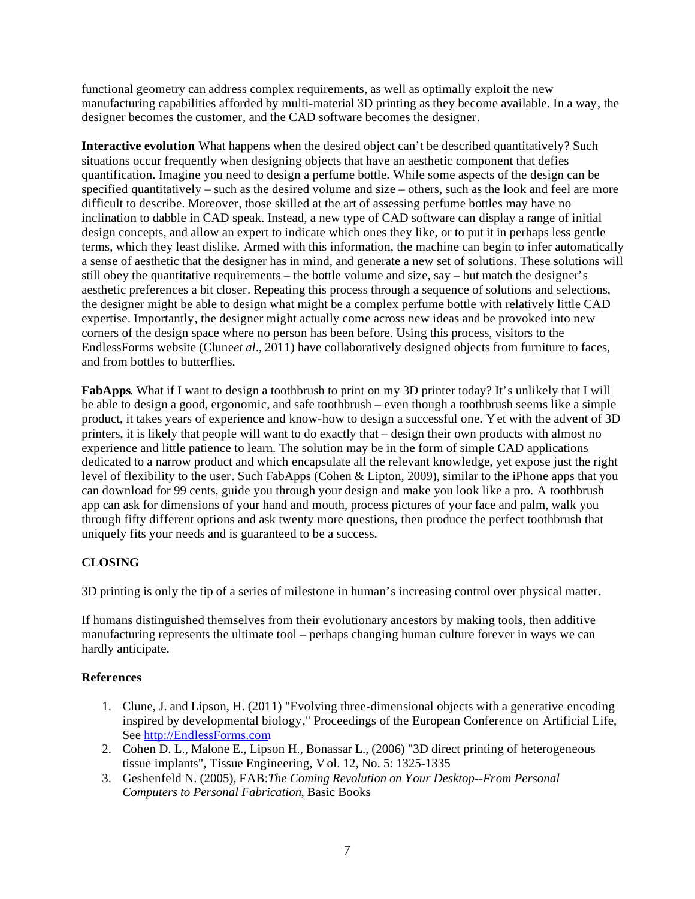functional geometry can address complex requirements, as well as optimally exploit the new manufacturing capabilities afforded by multi-material 3D printing as they become available. In a way, the designer becomes the customer, and the CAD software becomes the designer.

**Interactive evolution**. What happens when the desired object can't be described quantitatively? Such situations occur frequently when designing objects that have an aesthetic component that defies quantification. Imagine you need to design a perfume bottle. While some aspects of the design can be specified quantitatively – such as the desired volume and size – others, such as the look and feel are more difficult to describe. Moreover, those skilled at the art of assessing perfume bottles may have no inclination to dabble in CAD speak. Instead, a new type of CAD software can display a range of initial design concepts, and allow an expert to indicate which ones they like, or to put it in perhaps less gentle terms, which they least dislike. Armed with this information, the machine can begin to infer automatically a sense of aesthetic that the designer has in mind, and generate a new set of solutions. These solutions will still obey the quantitative requirements – the bottle volume and size, say – but match the designer's aesthetic preferences a bit closer. Repeating this process through a sequence of solutions and selections, the designer might be able to design what might be a complex perfume bottle with relatively little CAD expertise. Importantly, the designer might actually come across new ideas and be provoked into new corners of the design space where no person has been before. Using this process, visitors to the EndlessForms website (Clune*et al.*, 2011) have collaboratively designed objects from furniture to faces, and from bottles to butterflies.

**FabApps**. What if I want to design a toothbrush to print on my 3D printer today? It's unlikely that I will be able to design a good, ergonomic, and safe toothbrush – even though a toothbrush seems like a simple product, it takes years of experience and know-how to design a successful one. Yet with the advent of 3D printers, it is likely that people will want to do exactly that – design their own products with almost no experience and little patience to learn. The solution may be in the form of simple CAD applications dedicated to a narrow product and which encapsulate all the relevant knowledge, yet expose just the right level of flexibility to the user. Such FabApps (Cohen & Lipton, 2009), similar to the iPhone apps that you can download for 99 cents, guide you through your design and make you look like a pro. A toothbrush app can ask for dimensions of your hand and mouth, process pictures of your face and palm, walk you through fifty different options and ask twenty more questions, then produce the perfect toothbrush that uniquely fits your needs and is guaranteed to be a success.

# **CLOSING**

3D printing is only the tip of a series of milestone in human's increasing control over physical matter.

If humans distinguished themselves from their evolutionary ancestors by making tools, then additive manufacturing represents the ultimate tool – perhaps changing human culture forever in ways we can hardly anticipate.

# **References**

- 1. Clune, J. and Lipson, H. (2011) "Evolving three-dimensional objects with a generative encoding inspired by developmental biology," Proceedings of the European Conference on Artificial Life, See <http://EndlessForms.com>
- 2. Cohen D. L., Malone E., Lipson H., Bonassar L., (2006) "3D direct printing of heterogeneous tissue implants", Tissue Engineering, V ol. 12, No. 5: 1325-1335
- 3. Geshenfeld N. (2005), FAB: *The Coming Revolution on Your Desktop--From Personal Computers to Personal Fabrication*, Basic Books